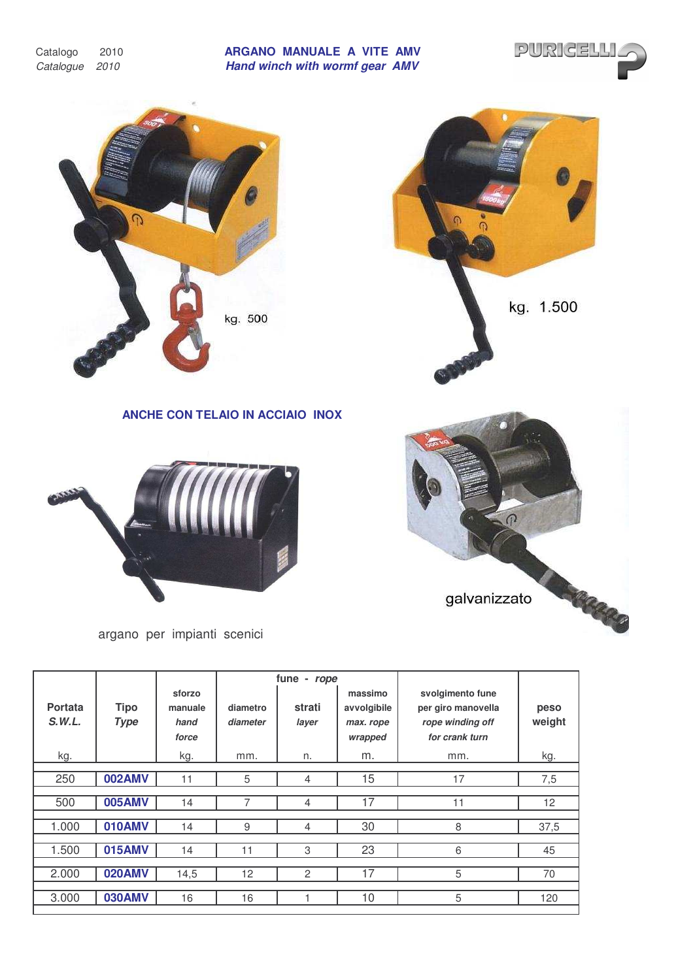Catalogo 2010 *Catalogue 2010*

## **ARGANO MANUALE A VITE AMV** *Hand winch with wormf gear AMV*





| S.W.L. | <b>Type</b>   | hand<br>force | diameter | layer          | max. rope<br>wrapped | rope winding off<br>for crank turn | weight |  |
|--------|---------------|---------------|----------|----------------|----------------------|------------------------------------|--------|--|
| kg.    |               | kg.           | mm.      | n.             | m.                   | mm.                                | kg.    |  |
|        |               |               |          |                |                      |                                    |        |  |
| 250    | <b>002AMV</b> | 11            | 5        | 4              | 15                   | 17                                 | 7,5    |  |
|        |               |               |          |                |                      |                                    |        |  |
| 500    | <b>005AMV</b> | 14            |          | 4              | 17                   | 11                                 | 12     |  |
|        |               |               |          |                |                      |                                    |        |  |
| 1.000  | 010AMV        | 14            | 9        | 4              | 30                   | 8                                  | 37,5   |  |
|        |               |               |          |                |                      |                                    |        |  |
| 1.500  | <b>015AMV</b> | 14            | 11       | 3              | 23                   | 6                                  | 45     |  |
|        |               |               |          |                |                      |                                    |        |  |
| 2.000  | 020AMV        | 14,5          | 12       | $\overline{2}$ | 17                   | 5                                  | 70     |  |
|        |               |               |          |                |                      |                                    |        |  |
| 3.000  | <b>030AMV</b> | 16            | 16       |                | 10                   | 5                                  | 120    |  |